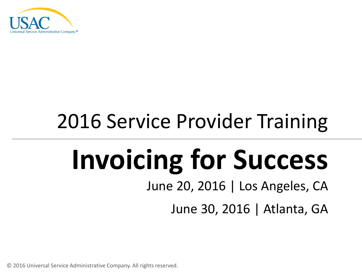

## 2016 Service Provider Training

# **Invoicing for Success**

June 20, 2016 | Los Angeles, CA

June 30, 2016 | Atlanta, GA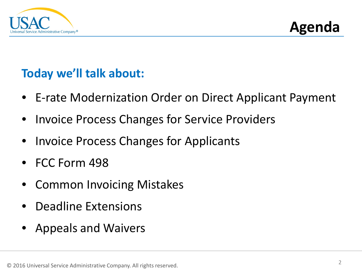



#### **Today we'll talk about:**

- E-rate Modernization Order on Direct Applicant Payment
- Invoice Process Changes for Service Providers
- Invoice Process Changes for Applicants
- FCC Form 498
- Common Invoicing Mistakes
- Deadline Extensions
- Appeals and Waivers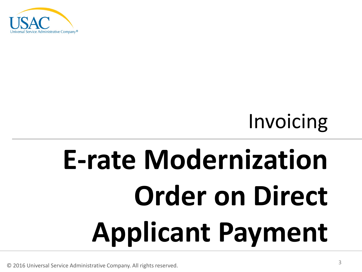

# **E-rate Modernization Order on Direct Applicant Payment**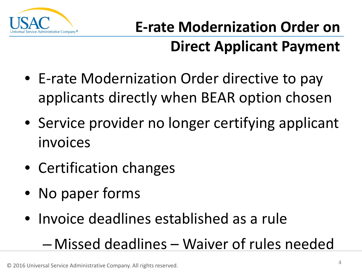

- E-rate Modernization Order directive to pay applicants directly when BEAR option chosen
- Service provider no longer certifying applicant invoices
- Certification changes
- No paper forms
- Invoice deadlines established as a rule

### – Missed deadlines – Waiver of rules needed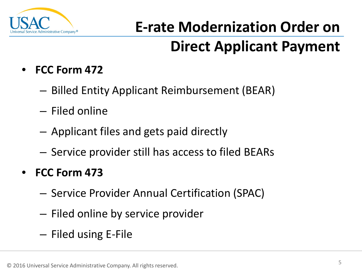

- **FCC Form 472**
	- Billed Entity Applicant Reimbursement (BEAR)
	- Filed online
	- Applicant files and gets paid directly
	- Service provider still has access to filed BEARs
- **FCC Form 473**
	- Service Provider Annual Certification (SPAC)
	- Filed online by service provider
	- Filed using E-File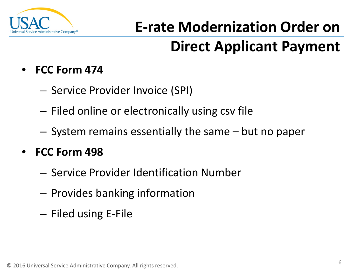

- **FCC Form 474**
	- Service Provider Invoice (SPI)
	- Filed online or electronically using csv file
	- System remains essentially the same but no paper

#### • **FCC Form 498**

- Service Provider Identification Number
- Provides banking information
- Filed using E-File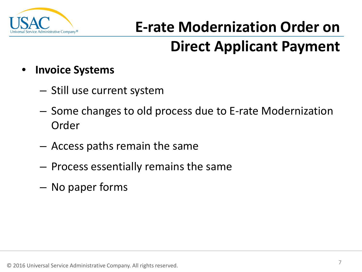

- **Invoice Systems**
	- Still use current system
	- Some changes to old process due to E-rate Modernization Order
	- Access paths remain the same
	- Process essentially remains the same
	- No paper forms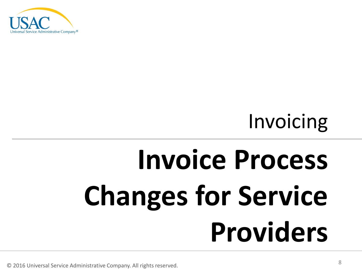

# **Invoice Process Changes for Service Providers**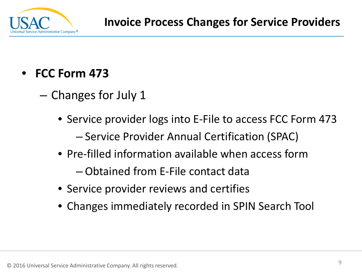

- **FCC Form 473**
	- Changes for July 1
		- Service provider logs into E-File to access FCC Form 473 – Service Provider Annual Certification (SPAC)
		- Pre-filled information available when access form
			- Obtained from E-File contact data
		- Service provider reviews and certifies
		- Changes immediately recorded in SPIN Search Tool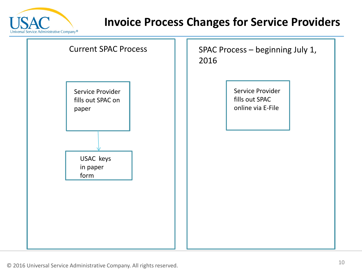

#### **Invoice Process Changes for Service Providers**

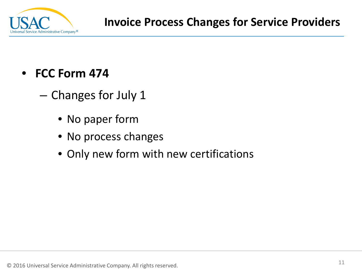

- **FCC Form 474**
	- Changes for July 1
		- No paper form
		- No process changes
		- Only new form with new certifications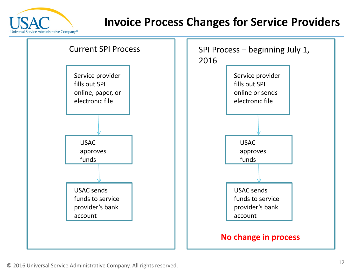

#### **Invoice Process Changes for Service Providers**

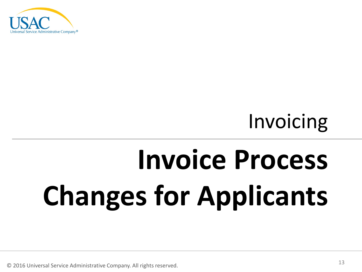

# **Invoice Process Changes for Applicants**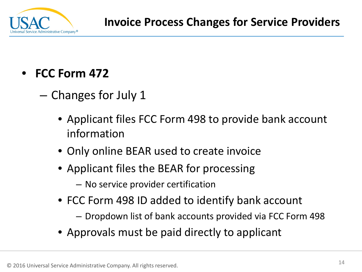

- **FCC Form 472**
	- Changes for July 1
		- Applicant files FCC Form 498 to provide bank account information
		- Only online BEAR used to create invoice
		- Applicant files the BEAR for processing
			- No service provider certification
		- FCC Form 498 ID added to identify bank account
			- Dropdown list of bank accounts provided via FCC Form 498
		- Approvals must be paid directly to applicant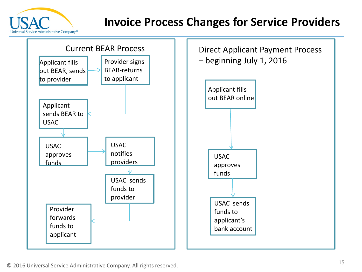

#### **Invoice Process Changes for Service Providers**

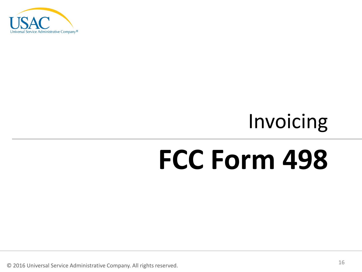

# **FCC Form 498**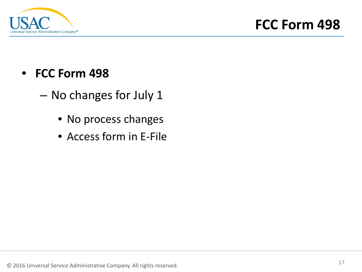

- **FCC Form 498**
	- No changes for July 1
		- No process changes
		- Access form in E-File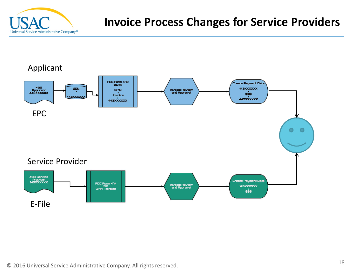

#### **Invoice Process Changes for Service Providers**

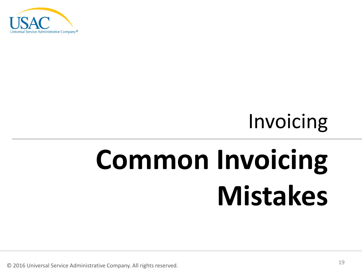

# **Common Invoicing Mistakes**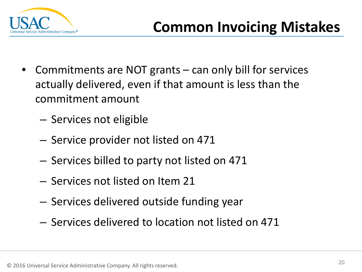

- Commitments are NOT grants can only bill for services actually delivered, even if that amount is less than the commitment amount
	- Services not eligible
	- Service provider not listed on 471
	- Services billed to party not listed on 471
	- Services not listed on Item 21
	- Services delivered outside funding year
	- Services delivered to location not listed on 471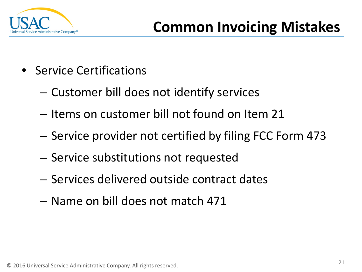

- Service Certifications
	- Customer bill does not identify services
	- Items on customer bill not found on Item 21
	- Service provider not certified by filing FCC Form 473
	- Service substitutions not requested
	- Services delivered outside contract dates
	- Name on bill does not match 471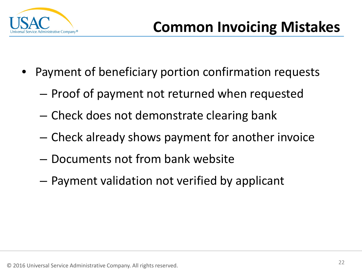

- Payment of beneficiary portion confirmation requests
	- Proof of payment not returned when requested
	- Check does not demonstrate clearing bank
	- Check already shows payment for another invoice
	- Documents not from bank website
	- Payment validation not verified by applicant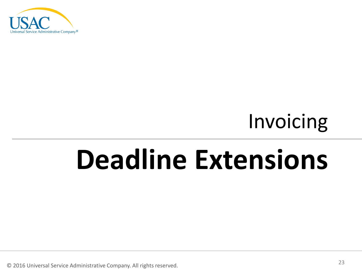

## **Deadline Extensions**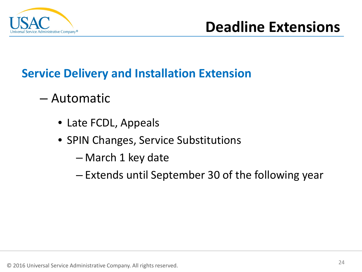

### **Service Delivery and Installation Extension**

- Automatic
	- Late FCDL, Appeals
	- SPIN Changes, Service Substitutions
		- March 1 key date
		- Extends until September 30 of the following year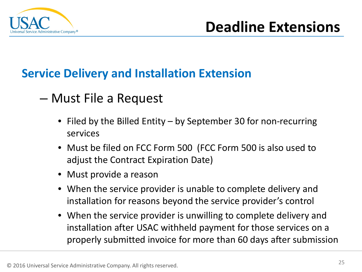

#### **Service Delivery and Installation Extension**

### – Must File a Request

- Filed by the Billed Entity by September 30 for non-recurring services
- Must be filed on FCC Form 500 (FCC Form 500 is also used to adjust the Contract Expiration Date)
- Must provide a reason
- When the service provider is unable to complete delivery and installation for reasons beyond the service provider's control
- When the service provider is unwilling to complete delivery and installation after USAC withheld payment for those services on a properly submitted invoice for more than 60 days after submission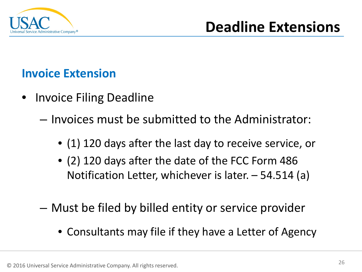

#### **Invoice Extension**

- Invoice Filing Deadline
	- Invoices must be submitted to the Administrator:
		- (1) 120 days after the last day to receive service, or
		- (2) 120 days after the date of the FCC Form 486 Notification Letter, whichever is later. – 54.514 (a)
	- Must be filed by billed entity or service provider
		- Consultants may file if they have a Letter of Agency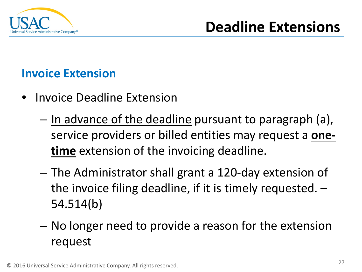

#### **Invoice Extension**

- Invoice Deadline Extension
	- In advance of the deadline pursuant to paragraph (a), service providers or billed entities may request a **onetime** extension of the invoicing deadline.
	- The Administrator shall grant a 120-day extension of the invoice filing deadline, if it is timely requested. – 54.514(b)
	- No longer need to provide a reason for the extension request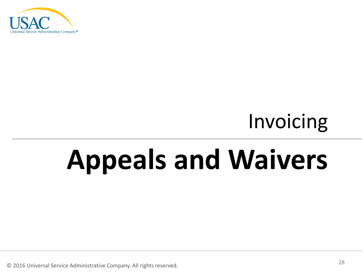

# **Appeals and Waivers**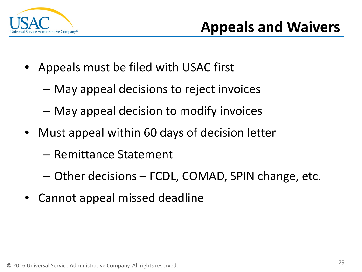

- Appeals must be filed with USAC first
	- May appeal decisions to reject invoices
	- May appeal decision to modify invoices
- Must appeal within 60 days of decision letter
	- Remittance Statement
	- Other decisions FCDL, COMAD, SPIN change, etc.
- Cannot appeal missed deadline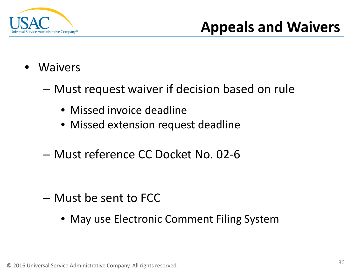

### **Appeals and Waivers**

- **Waivers** 
	- Must request waiver if decision based on rule
		- Missed invoice deadline
		- Missed extension request deadline
	- Must reference CC Docket No. 02-6

- Must be sent to FCC
	- May use Electronic Comment Filing System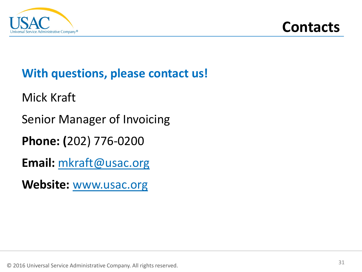

### **With questions, please contact us!**

Mick Kraft

Senior Manager of Invoicing

**Phone: (**202) 776-0200

**Email:** [mkraft@usac.org](mailto:mkraft@usac.org)

**Website:** [www.usac.org](http://www.usac.org/)